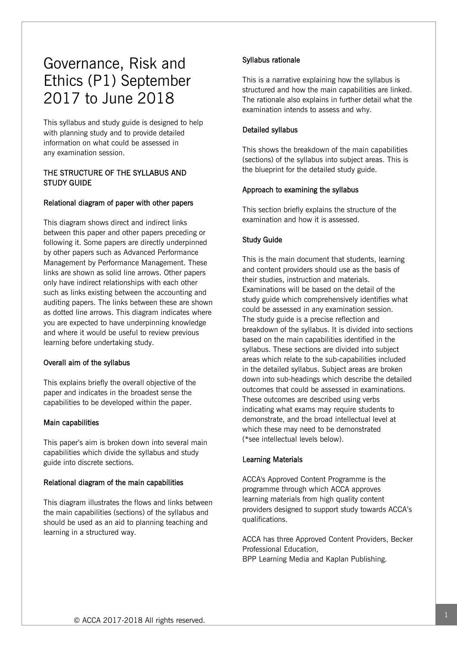# Governance, Risk and Ethics (P1) September 2017 to June 2018

This syllabus and study guide is designed to help with planning study and to provide detailed information on what could be assessed in any examination session.

# THE STRUCTURE OF THE SYLLABUS AND STUDY GUIDE

## Relational diagram of paper with other papers

This diagram shows direct and indirect links between this paper and other papers preceding or following it. Some papers are directly underpinned by other papers such as Advanced Performance Management by Performance Management. These links are shown as solid line arrows. Other papers only have indirect relationships with each other such as links existing between the accounting and auditing papers. The links between these are shown as dotted line arrows. This diagram indicates where you are expected to have underpinning knowledge and where it would be useful to review previous learning before undertaking study.

### Overall aim of the syllabus

This explains briefly the overall objective of the paper and indicates in the broadest sense the capabilities to be developed within the paper.

### Main capabilities

This paper's aim is broken down into several main capabilities which divide the syllabus and study guide into discrete sections.

### Relational diagram of the main capabilities

This diagram illustrates the flows and links between the main capabilities (sections) of the syllabus and should be used as an aid to planning teaching and learning in a structured way.

# Syllabus rationale

This is a narrative explaining how the syllabus is structured and how the main capabilities are linked. The rationale also explains in further detail what the examination intends to assess and why.

## Detailed syllabus

This shows the breakdown of the main capabilities (sections) of the syllabus into subject areas. This is the blueprint for the detailed study guide.

### Approach to examining the syllabus

This section briefly explains the structure of the examination and how it is assessed.

## Study Guide

This is the main document that students, learning and content providers should use as the basis of their studies, instruction and materials. Examinations will be based on the detail of the study guide which comprehensively identifies what could be assessed in any examination session. The study guide is a precise reflection and breakdown of the syllabus. It is divided into sections based on the main capabilities identified in the syllabus. These sections are divided into subject areas which relate to the sub-capabilities included in the detailed syllabus. Subject areas are broken down into sub-headings which describe the detailed outcomes that could be assessed in examinations. These outcomes are described using verbs indicating what exams may require students to demonstrate, and the broad intellectual level at which these may need to be demonstrated (\*see intellectual levels below).

### Learning Materials

ACCA's Approved Content Programme is the programme through which ACCA approves learning materials from high quality content providers designed to support study towards ACCA's qualifications.

ACCA has three Approved Content Providers, Becker Professional Education, BPP Learning Media and Kaplan Publishing.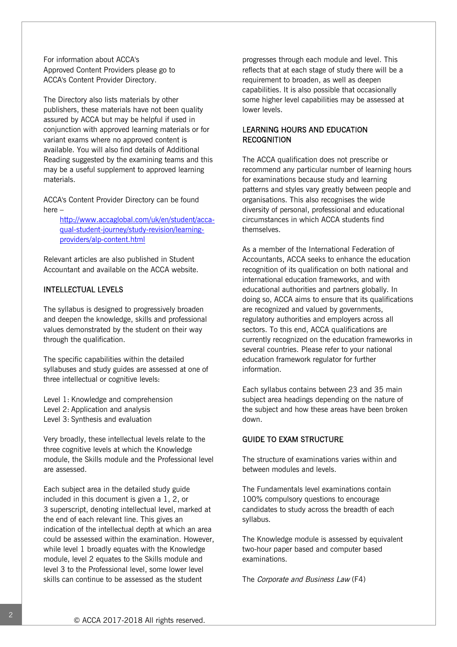For information about ACCA's Approved Content Providers please go to ACCA's Content Provider Directory.

The Directory also lists materials by other publishers, these materials have not been quality assured by ACCA but may be helpful if used in conjunction with approved learning materials or for variant exams where no approved content is available. You will also find details of Additional Reading suggested by the examining teams and this may be a useful supplement to approved learning materials.

ACCA's Content Provider Directory can be found here –

> *<sup>H</sup>* [http://www.accaglobal.com/uk/en/student/acca](http://www.accaglobal.com/uk/en/student/acca-qual-student-journey/study-revision/learning-providers/alp-content.html)[qual-student-journey/study-revision/learning](http://www.accaglobal.com/uk/en/student/acca-qual-student-journey/study-revision/learning-providers/alp-content.html)[providers/alp-content.html](http://www.accaglobal.com/uk/en/student/acca-qual-student-journey/study-revision/learning-providers/alp-content.html)

Relevant articles are also published in Student Accountant and available on the ACCA website.

# INTELLECTUAL LEVELS

The syllabus is designed to progressively broaden and deepen the knowledge, skills and professional values demonstrated by the student on their way through the qualification.

The specific capabilities within the detailed syllabuses and study guides are assessed at one of three intellectual or cognitive levels:

Level 1: Knowledge and comprehension Level 2: Application and analysis Level 3: Synthesis and evaluation

Very broadly, these intellectual levels relate to the three cognitive levels at which the Knowledge module, the Skills module and the Professional level are assessed.

Each subject area in the detailed study guide included in this document is given a 1, 2, or 3 superscript, denoting intellectual level, marked at the end of each relevant line. This gives an indication of the intellectual depth at which an area could be assessed within the examination. However, while level 1 broadly equates with the Knowledge module, level 2 equates to the Skills module and level 3 to the Professional level, some lower level skills can continue to be assessed as the student

progresses through each module and level. This reflects that at each stage of study there will be a requirement to broaden, as well as deepen capabilities. It is also possible that occasionally some higher level capabilities may be assessed at lower levels.

## LEARNING HOURS AND EDUCATION **RECOGNITION**

The ACCA qualification does not prescribe or recommend any particular number of learning hours for examinations because study and learning patterns and styles vary greatly between people and organisations. This also recognises the wide diversity of personal, professional and educational circumstances in which ACCA students find themselves.

As a member of the International Federation of Accountants, ACCA seeks to enhance the education recognition of its qualification on both national and international education frameworks, and with educational authorities and partners globally. In doing so, ACCA aims to ensure that its qualifications are recognized and valued by governments, regulatory authorities and employers across all sectors. To this end, ACCA qualifications are currently recognized on the education frameworks in several countries. Please refer to your national education framework regulator for further information.

Each syllabus contains between 23 and 35 main subject area headings depending on the nature of the subject and how these areas have been broken down.

#### GUIDE TO EXAM STRUCTURE

The structure of examinations varies within and between modules and levels.

The Fundamentals level examinations contain 100% compulsory questions to encourage candidates to study across the breadth of each syllabus.

The Knowledge module is assessed by equivalent two-hour paper based and computer based examinations.

The Corporate and Business Law (F4)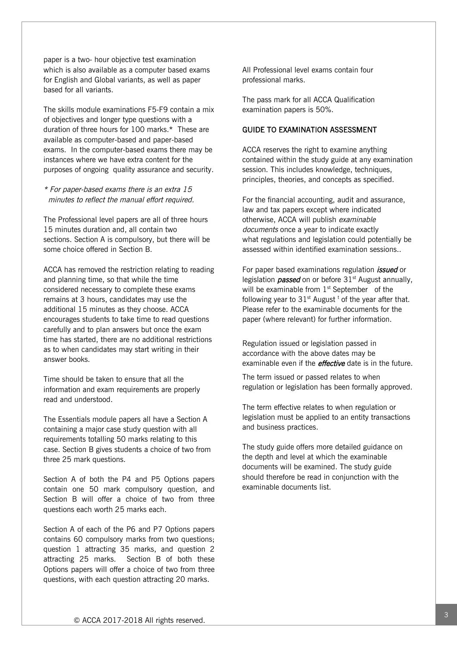paper is a two- hour objective test examination which is also available as a computer based exams for English and Global variants, as well as paper based for all variants.

The skills module examinations F5-F9 contain a mix of objectives and longer type questions with a duration of three hours for 100 marks.\* These are available as computer-based and paper-based exams. In the computer-based exams there may be instances where we have extra content for the purposes of ongoing quality assurance and security.

\* For paper-based exams there is an extra 15 minutes to reflect the manual effort required.

The Professional level papers are all of three hours 15 minutes duration and, all contain two sections. Section A is compulsory, but there will be some choice offered in Section B.

ACCA has removed the restriction relating to reading and planning time, so that while the time considered necessary to complete these exams remains at 3 hours, candidates may use the additional 15 minutes as they choose. ACCA encourages students to take time to read questions carefully and to plan answers but once the exam time has started, there are no additional restrictions as to when candidates may start writing in their answer books.

Time should be taken to ensure that all the information and exam requirements are properly read and understood.

The Essentials module papers all have a Section A containing a major case study question with all requirements totalling 50 marks relating to this case. Section B gives students a choice of two from three 25 mark questions.

Section A of both the P4 and P5 Options papers contain one 50 mark compulsory question, and Section B will offer a choice of two from three questions each worth 25 marks each.

Section A of each of the P6 and P7 Options papers contains 60 compulsory marks from two questions; question 1 attracting 35 marks, and question 2 attracting 25 marks. Section B of both these Options papers will offer a choice of two from three questions, with each question attracting 20 marks.

All Professional level exams contain four professional marks.

The pass mark for all ACCA Qualification examination papers is 50%.

#### GUIDE TO EXAMINATION ASSESSMENT

ACCA reserves the right to examine anything contained within the study guide at any examination session. This includes knowledge, techniques, principles, theories, and concepts as specified.

For the financial accounting, audit and assurance, law and tax papers except where indicated otherwise, ACCA will publish examinable documents once a year to indicate exactly what regulations and legislation could potentially be assessed within identified examination sessions..

For paper based examinations regulation *issued* or legislation *passed* on or before  $31<sup>st</sup>$  August annually, will be examinable from  $1<sup>st</sup>$  September of the following year to  $31<sup>st</sup>$  August  $<sup>t</sup>$  of the year after that.</sup> Please refer to the examinable documents for the paper (where relevant) for further information.

Regulation issued or legislation passed in accordance with the above dates may be examinable even if the *effective* date is in the future.

The term issued or passed relates to when regulation or legislation has been formally approved.

The term effective relates to when regulation or legislation must be applied to an entity transactions and business practices.

The study guide offers more detailed guidance on the depth and level at which the examinable documents will be examined. The study guide should therefore be read in conjunction with the examinable documents list.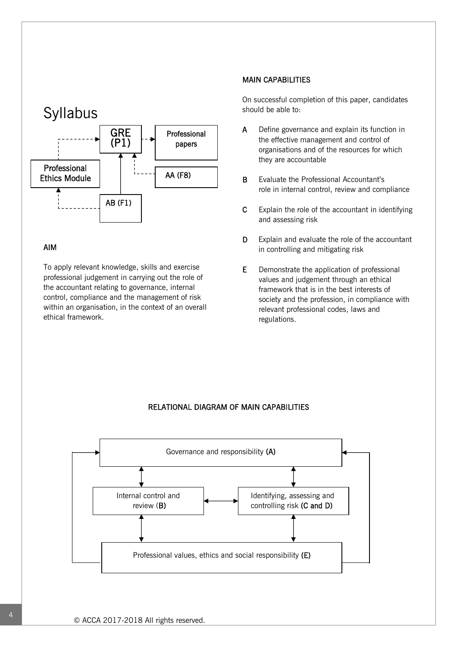

### AIM

To apply relevant knowledge, skills and exercise professional judgement in carrying out the role of the accountant relating to governance, internal control, compliance and the management of risk within an organisation, in the context of an overall ethical framework.

#### MAIN CAPABILITIES

On successful completion of this paper, candidates should be able to:

- A Define governance and explain its function in the effective management and control of organisations and of the resources for which they are accountable
- B Evaluate the Professional Accountant's role in internal control, review and compliance
- C Explain the role of the accountant in identifying and assessing risk
- D Explain and evaluate the role of the accountant in controlling and mitigating risk
- E Demonstrate the application of professional values and judgement through an ethical framework that is in the best interests of society and the profession, in compliance with relevant professional codes, laws and regulations.

#### RELATIONAL DIAGRAM OF MAIN CAPABILITIES

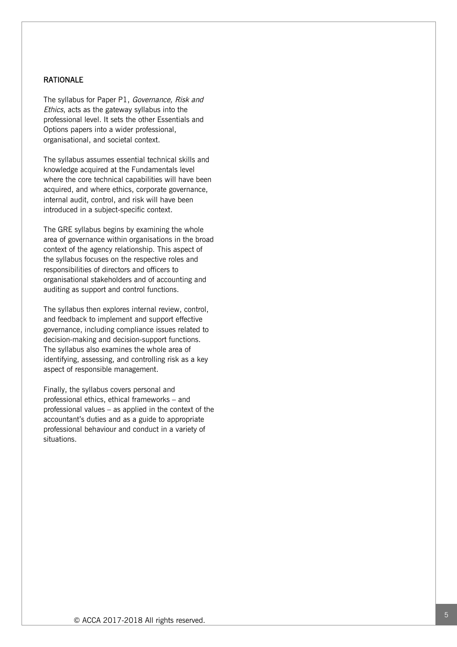#### RATIONALE

The syllabus for Paper P1, Governance, Risk and Ethics, acts as the gateway syllabus into the professional level. It sets the other Essentials and Options papers into a wider professional, organisational, and societal context.

The syllabus assumes essential technical skills and knowledge acquired at the Fundamentals level where the core technical capabilities will have been acquired, and where ethics, corporate governance, internal audit, control, and risk will have been introduced in a subject-specific context.

The GRE syllabus begins by examining the whole area of governance within organisations in the broad context of the agency relationship. This aspect of the syllabus focuses on the respective roles and responsibilities of directors and officers to organisational stakeholders and of accounting and auditing as support and control functions.

The syllabus then explores internal review, control, and feedback to implement and support effective governance, including compliance issues related to decision-making and decision-support functions. The syllabus also examines the whole area of identifying, assessing, and controlling risk as a key aspect of responsible management.

Finally, the syllabus covers personal and professional ethics, ethical frameworks – and professional values – as applied in the context of the accountant's duties and as a guide to appropriate professional behaviour and conduct in a variety of situations.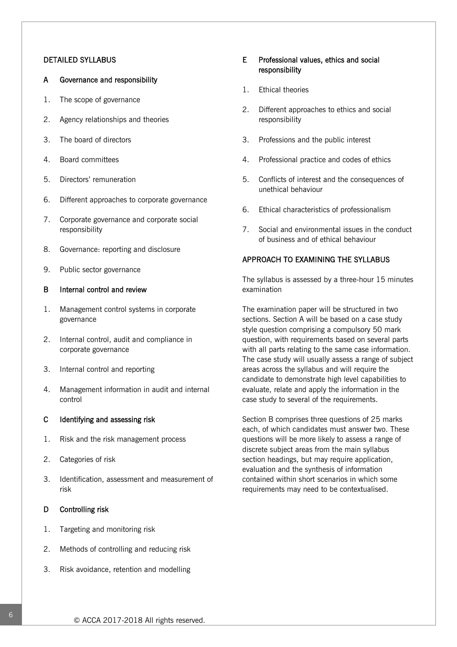#### DETAILED SYLLABUS

#### A Governance and responsibility

- 1. The scope of governance
- 2. Agency relationships and theories
- 3. The board of directors
- 4. Board committees
- 5. Directors' remuneration
- 6. Different approaches to corporate governance
- 7. Corporate governance and corporate social responsibility
- 8. Governance: reporting and disclosure
- 9. Public sector governance

### B Internal control and review

- 1. Management control systems in corporate governance
- 2. Internal control, audit and compliance in corporate governance
- 3. Internal control and reporting
- 4. Management information in audit and internal control

#### C Identifying and assessing risk

- 1. Risk and the risk management process
- 2. Categories of risk
- 3. Identification, assessment and measurement of risk

## D Controlling risk

- 1. Targeting and monitoring risk
- 2. Methods of controlling and reducing risk
- 3. Risk avoidance, retention and modelling

## E Professional values, ethics and social responsibility

- 1. Ethical theories
- 2. Different approaches to ethics and social responsibility
- 3. Professions and the public interest
- 4. Professional practice and codes of ethics
- 5. Conflicts of interest and the consequences of unethical behaviour
- 6. Ethical characteristics of professionalism
- 7. Social and environmental issues in the conduct of business and of ethical behaviour

## APPROACH TO EXAMINING THE SYLLABUS

The syllabus is assessed by a three-hour 15 minutes examination

The examination paper will be structured in two sections. Section A will be based on a case study style question comprising a compulsory 50 mark question, with requirements based on several parts with all parts relating to the same case information. The case study will usually assess a range of subject areas across the syllabus and will require the candidate to demonstrate high level capabilities to evaluate, relate and apply the information in the case study to several of the requirements.

Section B comprises three questions of 25 marks each, of which candidates must answer two. These questions will be more likely to assess a range of discrete subject areas from the main syllabus section headings, but may require application, evaluation and the synthesis of information contained within short scenarios in which some requirements may need to be contextualised.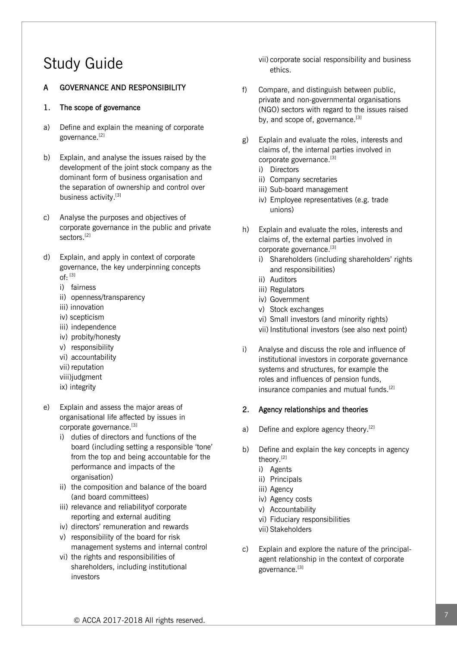# Study Guide

# A GOVERNANCE AND RESPONSIBILITY

## 1. The scope of governance

- a) Define and explain the meaning of corporate governance.[2]
- b) Explain, and analyse the issues raised by the development of the joint stock company as the dominant form of business organisation and the separation of ownership and control over business activity.<sup>[3]</sup>
- c) Analyse the purposes and objectives of corporate governance in the public and private sectors.<sup>[2]</sup>
- d) Explain, and apply in context of corporate governance, the key underpinning concepts  $of: [3]$ 
	- i) fairness
	- ii) openness/transparency
	- iii) innovation
	- iv) scepticism
	- iii) independence
	- iv) probity/honesty
	- v) responsibility
	- vi) accountability
	- vii) reputation
	- viii)judgment
	- ix) integrity
- e) Explain and assess the major areas of organisational life affected by issues in corporate governance.<sup>[3]</sup>
	- i) duties of directors and functions of the board (including setting a responsible 'tone' from the top and being accountable for the performance and impacts of the organisation)
	- ii) the composition and balance of the board (and board committees)
	- iii) relevance and reliabilityof corporate reporting and external auditing
	- iv) directors' remuneration and rewards
	- v) responsibility of the board for risk management systems and internal control
	- vi) the rights and responsibilities of shareholders, including institutional investors
- vii) corporate social responsibility and business ethics.
- f) Compare, and distinguish between public, private and non-governmental organisations (NGO) sectors with regard to the issues raised by, and scope of, governance.<sup>[3]</sup>
- g) Explain and evaluate the roles, interests and claims of, the internal parties involved in corporate governance.<sup>[3]</sup>
	- i) Directors
	- ii) Company secretaries
	- iii) Sub-board management
	- iv) Employee representatives (e.g. trade unions)
- h) Explain and evaluate the roles, interests and claims of, the external parties involved in corporate governance.<sup>[3]</sup>
	- i) Shareholders (including shareholders' rights and responsibilities)
	- ii) Auditors
	- iii) Regulators
	- iv) Government
	- v) Stock exchanges
	- vi) Small investors (and minority rights)
	- vii) Institutional investors (see also next point)
- i) Analyse and discuss the role and influence of institutional investors in corporate governance systems and structures, for example the roles and influences of pension funds, insurance companies and mutual funds.<sup>[2]</sup>

# 2. Agency relationships and theories

- a) Define and explore agency theory.<sup>[2]</sup>
- b) Define and explain the key concepts in agency theory.[2]
	- i) Agents
	- ii) Principals
	- iii) Agency
	- iv) Agency costs
	- v) Accountability
	- vi) Fiduciary responsibilities
	- vii) Stakeholders
- c) Explain and explore the nature of the principalagent relationship in the context of corporate governance.[3]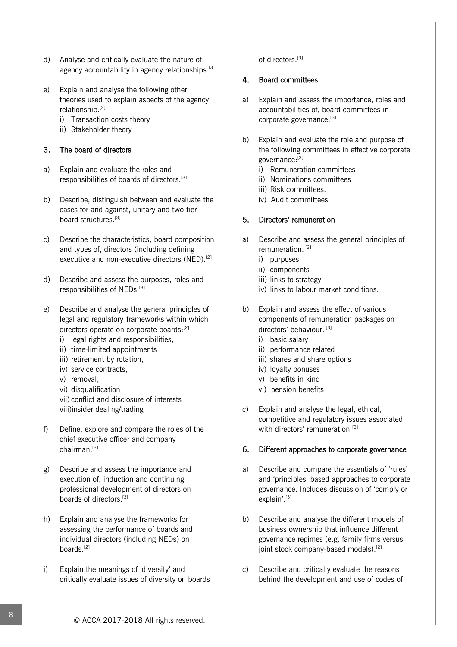- d) Analyse and critically evaluate the nature of agency accountability in agency relationships.<sup>[3]</sup>
- e) Explain and analyse the following other theories used to explain aspects of the agency relationship.[2]
	- i) Transaction costs theory
	- ii) Stakeholder theory

### 3. The board of directors

- a) Explain and evaluate the roles and responsibilities of boards of directors.[3]
- b) Describe, distinguish between and evaluate the cases for and against, unitary and two-tier board structures.<sup>[3]</sup>
- c) Describe the characteristics, board composition and types of, directors (including defining executive and non-executive directors (NED).<sup>[2]</sup>
- d) Describe and assess the purposes, roles and responsibilities of NEDs.[3]
- e) Describe and analyse the general principles of legal and regulatory frameworks within which directors operate on corporate boards:<sup>[2]</sup>
	- i) legal rights and responsibilities,
	- ii) time-limited appointments
	- iii) retirement by rotation,
	- iv) service contracts,
	- v) removal,
	- vi) disqualification

vii) conflict and disclosure of interests

- viii)insider dealing/trading
- f) Define, explore and compare the roles of the chief executive officer and company chairman.[3]
- g) Describe and assess the importance and execution of, induction and continuing professional development of directors on boards of directors<sup>[3]</sup>
- h) Explain and analyse the frameworks for assessing the performance of boards and individual directors (including NEDs) on boards.[2]
- i) Explain the meanings of 'diversity' and critically evaluate issues of diversity on boards

of directors.<sup>[3]</sup>

## 4. Board committees

- a) Explain and assess the importance, roles and accountabilities of, board committees in corporate governance.<sup>[3]</sup>
- b) Explain and evaluate the role and purpose of the following committees in effective corporate governance:[3]
	- i) Remuneration committees
	- ii) Nominations committees
	- iii) Risk committees.
	- iv) Audit committees

## 5. Directors' remuneration

- a) Describe and assess the general principles of remuneration.<sup>[3]</sup>
	- i) purposes
	- ii) components
	- iii) links to strategy
	- iv) links to labour market conditions.
- b) Explain and assess the effect of various components of remuneration packages on directors' behaviour. [3]
	- i) basic salary
	- ii) performance related
	- iii) shares and share options
	- iv) loyalty bonuses
	- v) benefits in kind
	- vi) pension benefits
- c) Explain and analyse the legal, ethical, competitive and regulatory issues associated with directors' remuneration.<sup>[3]</sup>

### 6. Different approaches to corporate governance

- a) Describe and compare the essentials of 'rules' and 'principles' based approaches to corporate governance. Includes discussion of 'comply or explain'.<sup>[3]</sup>
- b) Describe and analyse the different models of business ownership that influence different governance regimes (e.g. family firms versus joint stock company-based models).<sup>[2]</sup>
- c) Describe and critically evaluate the reasons behind the development and use of codes of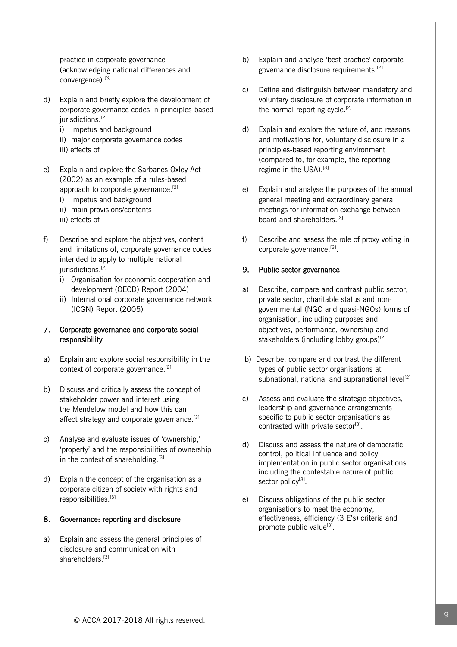practice in corporate governance (acknowledging national differences and convergence).<sup>[3]</sup>

- d) Explain and briefly explore the development of corporate governance codes in principles-based jurisdictions.<sup>[2]</sup>
	- i) impetus and background
	- ii) major corporate governance codes
	- iii) effects of
- e) Explain and explore the Sarbanes-Oxley Act (2002) as an example of a rules-based approach to corporate governance.<sup>[2]</sup>
	- i) impetus and background
	- ii) main provisions/contents
	- iii) effects of
- f) Describe and explore the objectives, content and limitations of, corporate governance codes intended to apply to multiple national jurisdictions.<sup>[2]</sup>
	- i) Organisation for economic cooperation and development (OECD) Report (2004)
	- ii) International corporate governance network (ICGN) Report (2005)

# 7. Corporate governance and corporate social responsibility

- a) Explain and explore social responsibility in the context of corporate governance.<sup>[2]</sup>
- b) Discuss and critically assess the concept of stakeholder power and interest using the Mendelow model and how this can affect strategy and corporate governance.<sup>[3]</sup>
- c) Analyse and evaluate issues of 'ownership,' 'property' and the responsibilities of ownership in the context of shareholding. $[3]$
- d) Explain the concept of the organisation as a corporate citizen of society with rights and responsibilities.[3]

# 8. Governance: reporting and disclosure

a) Explain and assess the general principles of disclosure and communication with shareholders.<sup>[3]</sup>

- b) Explain and analyse 'best practice' corporate governance disclosure requirements.[2]
- c) Define and distinguish between mandatory and voluntary disclosure of corporate information in the normal reporting cycle.<sup>[2]</sup>
- d) Explain and explore the nature of, and reasons and motivations for, voluntary disclosure in a principles-based reporting environment (compared to, for example, the reporting regime in the USA).<sup>[3]</sup>
- e) Explain and analyse the purposes of the annual general meeting and extraordinary general meetings for information exchange between board and shareholders.<sup>[2]</sup>
- f) Describe and assess the role of proxy voting in corporate governance.<sup>[3]</sup>.

## 9. Public sector governance

- a) Describe, compare and contrast public sector, private sector, charitable status and nongovernmental (NGO and quasi-NGOs) forms of organisation, including purposes and objectives, performance, ownership and stakeholders (including lobby groups) $^{[2]}$
- b) Describe, compare and contrast the different types of public sector organisations at subnational, national and supranational level<sup>[2]</sup>
- c) Assess and evaluate the strategic objectives, leadership and governance arrangements specific to public sector organisations as contrasted with private sector<sup>[3]</sup>.
- d) Discuss and assess the nature of democratic control, political influence and policy implementation in public sector organisations including the contestable nature of public sector policy<sup>[3]</sup>.
- e) Discuss obligations of the public sector organisations to meet the economy, effectiveness, efficiency (3 E's) criteria and promote public value<sup>[3]</sup>.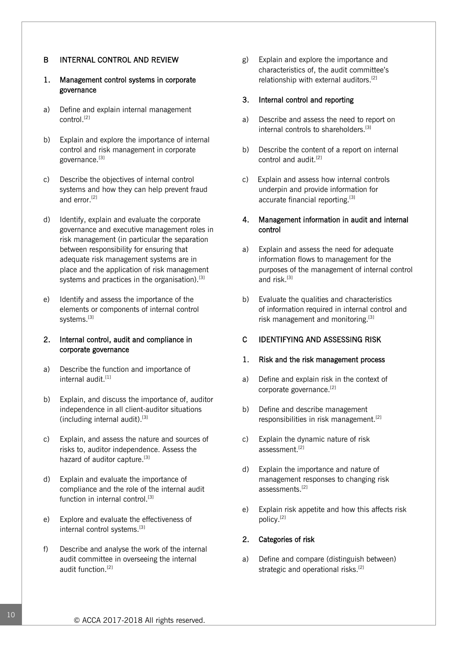#### B INTERNAL CONTROL AND REVIEW

- 1. Management control systems in corporate governance
- a) Define and explain internal management control.[2]
- b) Explain and explore the importance of internal control and risk management in corporate governance.[3]
- c) Describe the objectives of internal control systems and how they can help prevent fraud and error.<sup>[2]</sup>
- d) Identify, explain and evaluate the corporate governance and executive management roles in risk management (in particular the separation between responsibility for ensuring that adequate risk management systems are in place and the application of risk management systems and practices in the organisation).<sup>[3]</sup>
- e) Identify and assess the importance of the elements or components of internal control systems.<sup>[3]</sup>

#### 2. Internal control, audit and compliance in corporate governance

- a) Describe the function and importance of internal audit.<sup>[1]</sup>
- b) Explain, and discuss the importance of, auditor independence in all client-auditor situations (including internal audit).[3]
- c) Explain, and assess the nature and sources of risks to, auditor independence. Assess the hazard of auditor capture.<sup>[3]</sup>
- d) Explain and evaluate the importance of compliance and the role of the internal audit function in internal control<sup>[3]</sup>
- e) Explore and evaluate the effectiveness of internal control systems.<sup>[3]</sup>
- f) Describe and analyse the work of the internal audit committee in overseeing the internal audit function.<sup>[2]</sup>

g) Explain and explore the importance and characteristics of, the audit committee's relationship with external auditors.<sup>[2]</sup>

#### 3. Internal control and reporting

- a) Describe and assess the need to report on internal controls to shareholders.<sup>[3]</sup>
- b) Describe the content of a report on internal control and audit.<sup>[2]</sup>
- c) Explain and assess how internal controls underpin and provide information for accurate financial reporting.[3]

#### 4. Management information in audit and internal control

- a) Explain and assess the need for adequate information flows to management for the purposes of the management of internal control and risk.<sup>[3]</sup>
- b) Evaluate the qualities and characteristics of information required in internal control and risk management and monitoring.<sup>[3]</sup>

#### C IDENTIFYING AND ASSESSING RISK

#### 1. Risk and the risk management process

- a) Define and explain risk in the context of corporate governance.<sup>[2]</sup>
- b) Define and describe management responsibilities in risk management.<sup>[2]</sup>
- c) Explain the dynamic nature of risk assessment.<sup>[2]</sup>
- d) Explain the importance and nature of management responses to changing risk assessments.<sup>[2]</sup>
- e) Explain risk appetite and how this affects risk policy.<sup>[2]</sup>

#### 2. Categories of risk

a) Define and compare (distinguish between) strategic and operational risks.<sup>[2]</sup>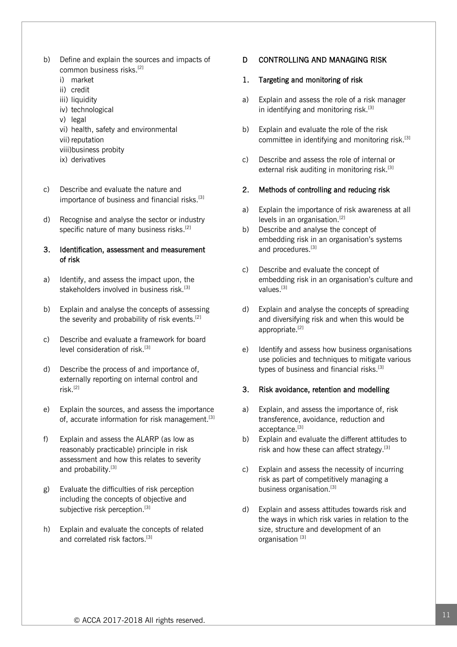- b) Define and explain the sources and impacts of common business risks.[2]
	- i) market
	- ii) credit
	- iii) liquidity
	- iv) technological
	- v) legal
	- vi) health, safety and environmental
	- vii) reputation
	- viii)business probity
	- ix) derivatives
- c) Describe and evaluate the nature and importance of business and financial risks.<sup>[3]</sup>
- d) Recognise and analyse the sector or industry specific nature of many business risks.<sup>[2]</sup>
- 3. Identification, assessment and measurement of risk
- a) Identify, and assess the impact upon, the stakeholders involved in business risk.<sup>[3]</sup>
- b) Explain and analyse the concepts of assessing the severity and probability of risk events.[2]
- c) Describe and evaluate a framework for board level consideration of risk.<sup>[3]</sup>
- d) Describe the process of and importance of, externally reporting on internal control and risk.[2]
- e) Explain the sources, and assess the importance of, accurate information for risk management.<sup>[3]</sup>
- f) Explain and assess the ALARP (as low as reasonably practicable) principle in risk assessment and how this relates to severity and probability.<sup>[3]</sup>
- g) Evaluate the difficulties of risk perception including the concepts of objective and subjective risk perception.<sup>[3]</sup>
- h) Explain and evaluate the concepts of related and correlated risk factors.<sup>[3]</sup>

# D CONTROLLING AND MANAGING RISK

# 1. Targeting and monitoring of risk

- a) Explain and assess the role of a risk manager in identifying and monitoring risk. $[3]$
- b) Explain and evaluate the role of the risk committee in identifying and monitoring risk.<sup>[3]</sup>
- c) Describe and assess the role of internal or external risk auditing in monitoring risk.<sup>[3]</sup>

# 2. Methods of controlling and reducing risk

- a) Explain the importance of risk awareness at all levels in an organisation.<sup>[2]</sup>
- b) Describe and analyse the concept of embedding risk in an organisation's systems and procedures.<sup>[3]</sup>
- c) Describe and evaluate the concept of embedding risk in an organisation's culture and values.<sup>[3]</sup>
- d) Explain and analyse the concepts of spreading and diversifying risk and when this would be appropriate.<sup>[2]</sup>
- e) Identify and assess how business organisations use policies and techniques to mitigate various types of business and financial risks.<sup>[3]</sup>

# 3. Risk avoidance, retention and modelling

- a) Explain, and assess the importance of, risk transference, avoidance, reduction and acceptance.<sup>[3]</sup>
- b) Explain and evaluate the different attitudes to risk and how these can affect strategy.<sup>[3]</sup>
- c) Explain and assess the necessity of incurring risk as part of competitively managing a business organisation.<sup>[3]</sup>
- d) Explain and assess attitudes towards risk and the ways in which risk varies in relation to the size, structure and development of an organisation<sup>[3]</sup>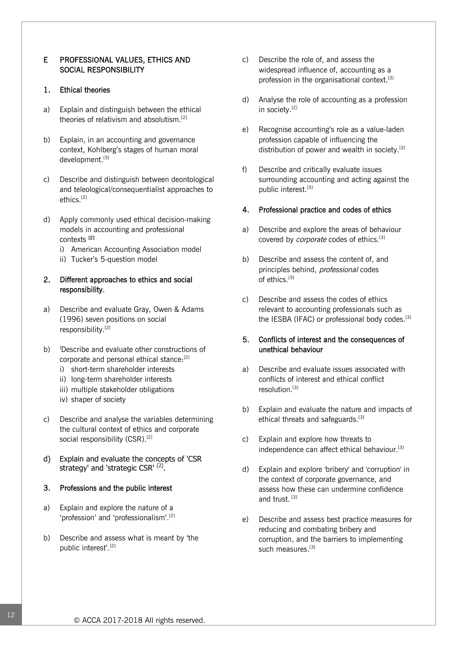### E PROFESSIONAL VALUES, ETHICS AND SOCIAL RESPONSIBILITY

## 1. Ethical theories

- a) Explain and distinguish between the ethical theories of relativism and absolutism.[2]
- b) Explain, in an accounting and governance context, Kohlberg's stages of human moral development.[3]
- c) Describe and distinguish between deontological and teleological/consequentialist approaches to ethics<sup>[2]</sup>
- d) Apply commonly used ethical decision-making models in accounting and professional contexts<sup>[2]</sup>
	- i) American Accounting Association model
	- ii) Tucker's 5-question model

### 2. Different approaches to ethics and social responsibility.

- a) Describe and evaluate Gray, Owen & Adams (1996) seven positions on social responsibility.[2]
- b)  $\frac{1}{2}$ Describe and evaluate other constructions of corporate and personal ethical stance:<sup>[2]</sup>
	- i) short-term shareholder interests
	- ii) long-term shareholder interests
	- iii) multiple stakeholder obligations
	- iv) shaper of society
- c) Describe and analyse the variables determining the cultural context of ethics and corporate social responsibility (CSR).<sup>[2]</sup>
- d) Explain and evaluate the concepts of 'CSR strategy' and 'strategic CSR' [2].

### 3. Professions and the public interest

- a) Explain and explore the nature of a 'profession' and 'professionalism'.[2]
- b) Describe and assess what is meant by 'the public interest'.[2]
- c) Describe the role of, and assess the widespread influence of, accounting as a profession in the organisational context.<sup>[3]</sup>
- d) Analyse the role of accounting as a profession in society.<sup>[2]</sup>
- e) Recognise accounting's role as a value-laden profession capable of influencing the distribution of power and wealth in society.<sup>[3]</sup>
- f) Describe and critically evaluate issues surrounding accounting and acting against the public interest.<sup>[3]</sup>

#### 4. Professional practice and codes of ethics

- a) Describe and explore the areas of behaviour covered by *corporate* codes of ethics.<sup>[3]</sup>
- b) Describe and assess the content of, and principles behind, professional codes of ethics.<sup>[3]</sup>
- c) Describe and assess the codes of ethics relevant to accounting professionals such as the IESBA (IFAC) or professional body codes.<sup>[3]</sup>

### 5. Conflicts of interest and the consequences of unethical behaviour

- a) Describe and evaluate issues associated with conflicts of interest and ethical conflict resolution.<sup>[3]</sup>
- b) Explain and evaluate the nature and impacts of ethical threats and safeguards.<sup>[3]</sup>
- c) Explain and explore how threats to independence can affect ethical behaviour.<sup>[3]</sup>
- d) Explain and explore 'bribery' and 'corruption' in the context of corporate governance, and assess how these can undermine confidence and  $t$ rust.  $[3]$
- e) Describe and assess best practice measures for reducing and combating bribery and corruption, and the barriers to implementing such measures.<sup>[3]</sup>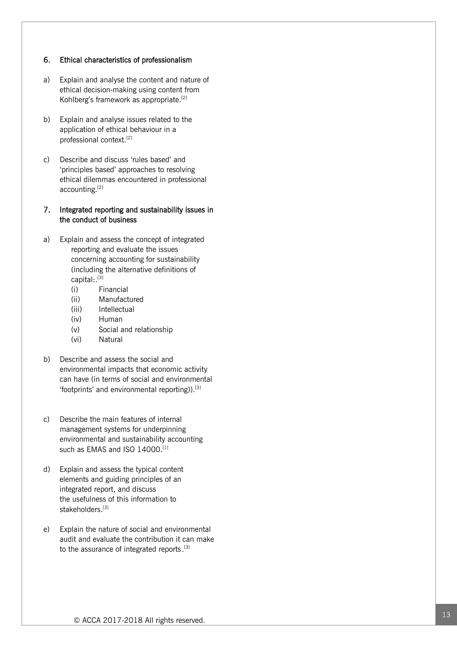#### 6. Ethical characteristics of professionalism

- a) Explain and analyse the content and nature of ethical decision-making using content from Kohlberg's framework as appropriate.[2]
- b) Explain and analyse issues related to the application of ethical behaviour in a professional context.[2]
- c) Describe and discuss 'rules based' and 'principles based' approaches to resolving ethical dilemmas encountered in professional accounting.<sup>[2]</sup>

### 7. Integrated reporting and sustainability issues in the conduct of business

- a) Explain and assess the concept of integrated reporting and evaluate the issues concerning accounting for sustainability (including the alternative definitions of capital:.<sup>[3]</sup>
	- (i) Financial
	- (ii) Manufactured
	- (iii) Intellectual
	- (iv) Human
	- (v) Social and relationship
	- (vi) Natural
- b) Describe and assess the social and environmental impacts that economic activity can have (in terms of social and environmental 'footprints' and environmental reporting)).[3]
- c) Describe the main features of internal management systems for underpinning environmental and sustainability accounting such as EMAS and ISO 14000.<sup>[1]</sup>
- d) Explain and assess the typical content elements and guiding principles of an integrated report, and discuss the usefulness of this information to stakeholders.<sup>[3]</sup>
- e) Explain the nature of social and environmental audit and evaluate the contribution it can make to the assurance of integrated reports.<sup>[3]</sup>